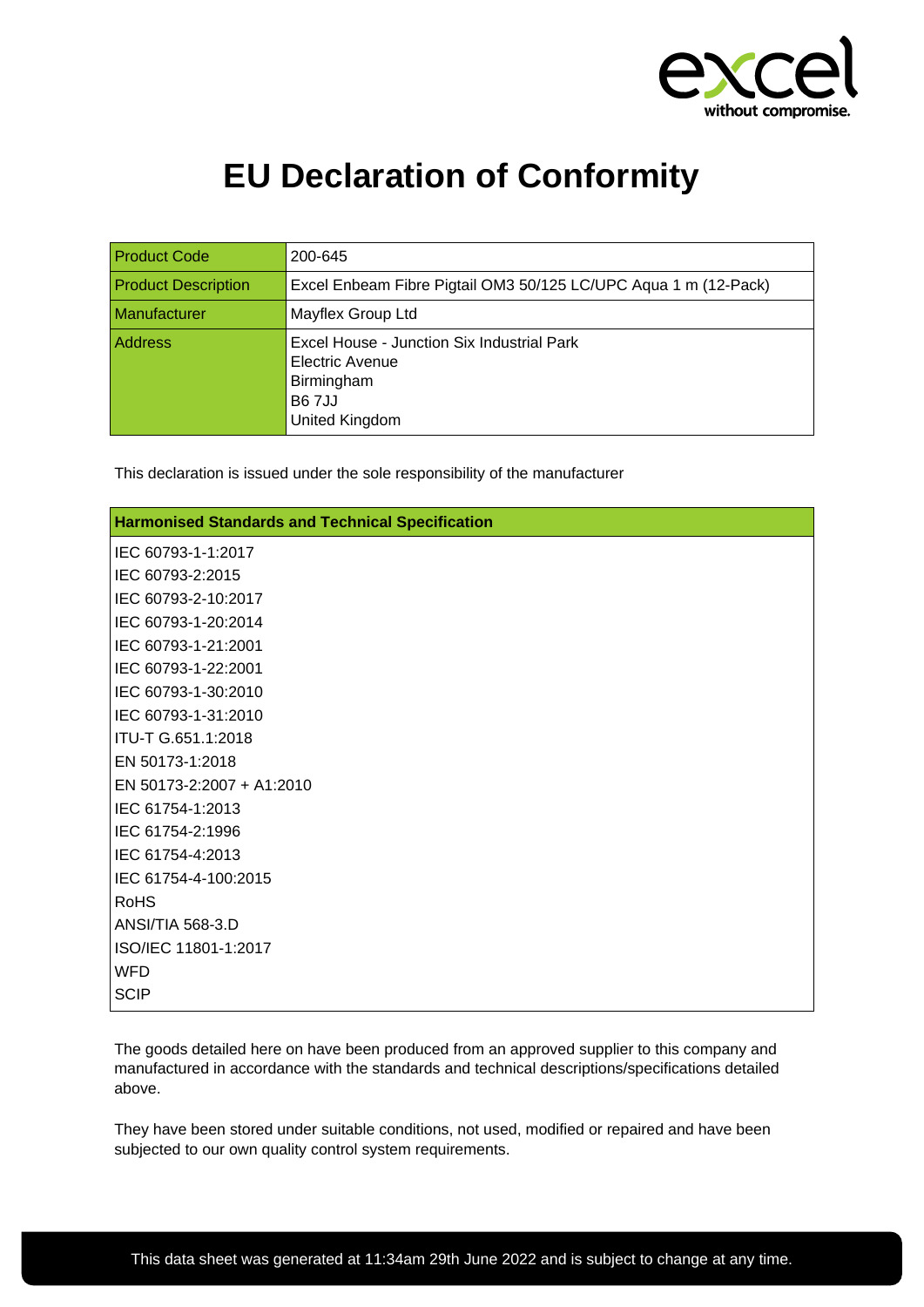

## **EU Declaration of Conformity**

| <b>Product Code</b>        | 200-645                                                                                                       |
|----------------------------|---------------------------------------------------------------------------------------------------------------|
| <b>Product Description</b> | Excel Enbeam Fibre Pigtail OM3 50/125 LC/UPC Aqua 1 m (12-Pack)                                               |
| Manufacturer               | Mayflex Group Ltd                                                                                             |
| Address                    | Excel House - Junction Six Industrial Park<br>Electric Avenue<br>Birmingham<br><b>B67JJ</b><br>United Kingdom |

This declaration is issued under the sole responsibility of the manufacturer

| <b>Harmonised Standards and Technical Specification</b> |  |
|---------------------------------------------------------|--|
| IEC 60793-1-1:2017                                      |  |
| IEC 60793-2:2015                                        |  |
| IEC 60793-2-10:2017                                     |  |
| IEC 60793-1-20:2014                                     |  |
| IEC 60793-1-21:2001                                     |  |
| IEC 60793-1-22:2001                                     |  |
| IEC 60793-1-30:2010                                     |  |
| IEC 60793-1-31:2010                                     |  |
| ITU-T G.651.1:2018                                      |  |
| EN 50173-1:2018                                         |  |
| EN 50173-2:2007 + A1:2010                               |  |
| IEC 61754-1:2013                                        |  |
| IEC 61754-2:1996                                        |  |
| IEC 61754-4:2013                                        |  |
| IEC 61754-4-100:2015                                    |  |
| <b>RoHS</b>                                             |  |
| ANSI/TIA 568-3.D                                        |  |
| ISO/IEC 11801-1:2017                                    |  |
| <b>WFD</b>                                              |  |
| <b>SCIP</b>                                             |  |

The goods detailed here on have been produced from an approved supplier to this company and manufactured in accordance with the standards and technical descriptions/specifications detailed above.

They have been stored under suitable conditions, not used, modified or repaired and have been subjected to our own quality control system requirements.